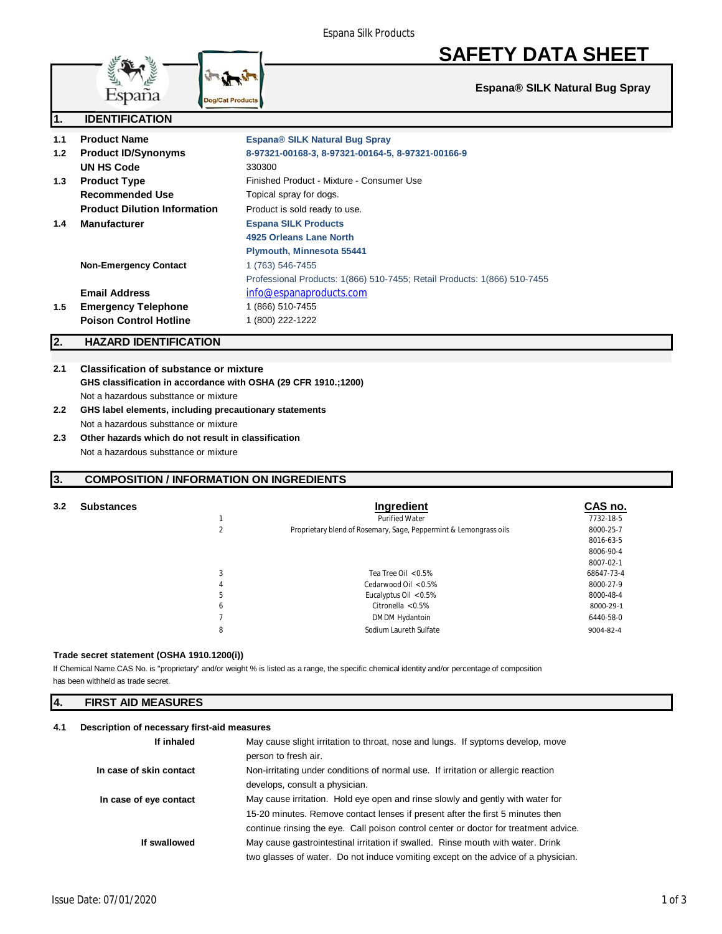# **SAFETY DATA SHEET**

**Espana® SILK Natural Bug Spray**

|     | $\sim$ $\sim$ $\sim$ $\sim$ $\sim$<br><b>Dogreat Products</b> |                                                                          |
|-----|---------------------------------------------------------------|--------------------------------------------------------------------------|
| 1.  | <b>IDENTIFICATION</b>                                         |                                                                          |
| 1.1 | <b>Product Name</b>                                           | <b>Espana® SILK Natural Bug Spray</b>                                    |
| 1.2 | <b>Product ID/Synonyms</b>                                    | 8-97321-00168-3, 8-97321-00164-5, 8-97321-00166-9                        |
|     | UN HS Code                                                    | 330300                                                                   |
| 1.3 | <b>Product Type</b>                                           | Finished Product - Mixture - Consumer Use                                |
|     | <b>Recommended Use</b>                                        | Topical spray for dogs.                                                  |
|     | <b>Product Dilution Information</b>                           | Product is sold ready to use.                                            |
| 1.4 | <b>Manufacturer</b>                                           | <b>Espana SILK Products</b>                                              |
|     |                                                               | 4925 Orleans Lane North                                                  |
|     |                                                               | Plymouth, Minnesota 55441                                                |
|     | <b>Non-Emergency Contact</b>                                  | 1 (763) 546-7455                                                         |
|     |                                                               | Professional Products: 1(866) 510-7455; Retail Products: 1(866) 510-7455 |
|     | <b>Email Address</b>                                          | info@espanaproducts.com                                                  |
| 1.5 | <b>Emergency Telephone</b>                                    | 1 (866) 510-7455                                                         |
|     | <b>Poison Control Hotline</b>                                 | 1 (800) 222-1222                                                         |

# **2. HAZARD IDENTIFICATION**

# **2.1 Classification of substance or mixture GHS classification in accordance with OSHA (29 CFR 1910.;1200)** Not a hazardous substtance or mixture

- **2.2 GHS label elements, including precautionary statements** Not a hazardous substtance or mixture
- **2.3 Other hazards which do not result in classification** Not a hazardous substtance or mixture

## **3. COMPOSITION / INFORMATION ON INGREDIENTS**

## **3.2 Substances Ingredient CAS no.** 1 Purified Water 7732-18-5 2 *Proprietary blend of Rosemary, Sage, Peppermint & Lemongrass oils* 8000-25-7 8016-63-5 8006-90-4 8007-02-1 3 Tea Tree Oil < 0.5% 68647-73-4 4 Cedarwood Oil < 0.5% 8000-27-9 8000-27-9 8000-27-9 8000-48-4 Eucalyptus Oil  $< 0.5\%$ 6 Citronella < 0.5% 8000-29-1 7 DMDM Hydantoin 6440-58-0 8 Sodium Laureth Sulfate 9004-82-4

#### **Trade secret statement (OSHA 1910.1200(i))**

has been withheld as trade secret. If Chemical Name CAS No. is "proprietary" and/or weight % is listed as a range, the specific chemical identity and/or percentage of composition

| 14.<br><b>FIRST AID MEASURES</b> |  |
|----------------------------------|--|
|----------------------------------|--|

## **4.1 Description of necessary first-aid measures**

| If inhaled              | May cause slight irritation to throat, nose and lungs. If syptoms develop, move      |  |
|-------------------------|--------------------------------------------------------------------------------------|--|
|                         | person to fresh air.                                                                 |  |
| In case of skin contact | Non-irritating under conditions of normal use. If irritation or allergic reaction    |  |
|                         | develops, consult a physician.                                                       |  |
| In case of eye contact  | May cause irritation. Hold eye open and rinse slowly and gently with water for       |  |
|                         | 15-20 minutes. Remove contact lenses if present after the first 5 minutes then       |  |
|                         | continue rinsing the eye. Call poison control center or doctor for treatment advice. |  |
| If swallowed            | May cause gastrointestinal irritation if swalled. Rinse mouth with water. Drink      |  |
|                         | two glasses of water. Do not induce vomiting except on the advice of a physician.    |  |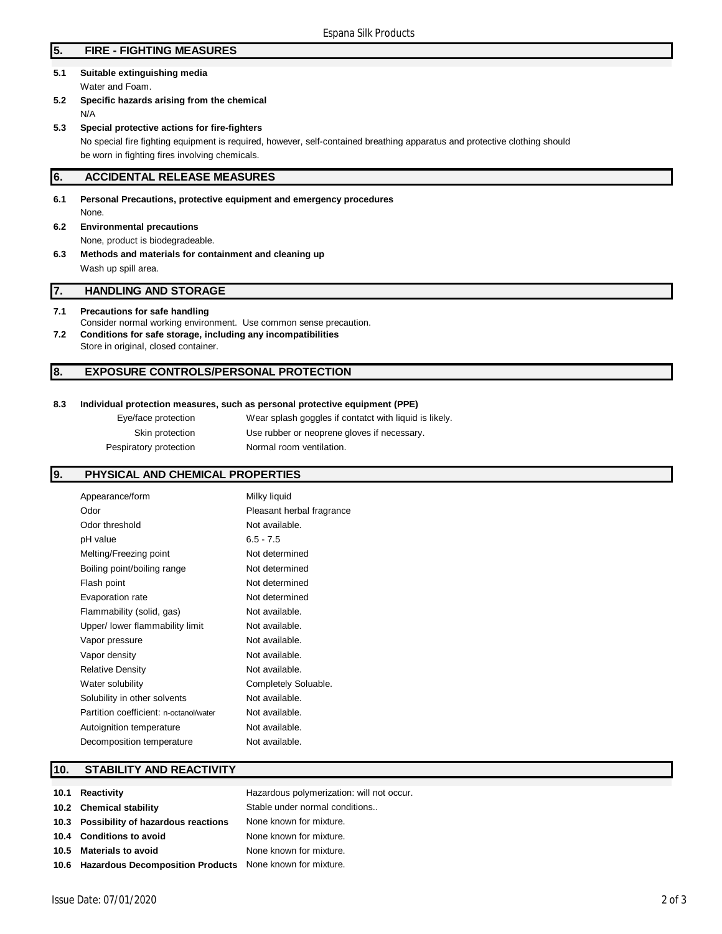# **5. FIRE - FIGHTING MEASURES**

- **5.1 Suitable extinguishing media** Water and Foam.
- **5.2 Specific hazards arising from the chemical** N/A
- **5.3 Special protective actions for fire-fighters** No special fire fighting equipment is required, however, self-contained breathing apparatus and protective clothing should be worn in fighting fires involving chemicals.

## **6. ACCIDENTAL RELEASE MEASURES**

**6.1 Personal Precautions, protective equipment and emergency procedures** None. **6.2 Environmental precautions**

None, product is biodegradeable.

**6.3 Methods and materials for containment and cleaning up**

Wash up spill area.

## **7. HANDLING AND STORAGE**

#### **7.1 Precautions for safe handling**

Consider normal working environment. Use common sense precaution.

**7.2 Conditions for safe storage, including any incompatibilities** Store in original, closed container.

#### **8. EXPOSURE CONTROLS/PERSONAL PROTECTION**

#### **8.3 Individual protection measures, such as personal protective equipment (PPE)**

| Eye/face protection    | Wear splash goggles if contatct with liquid is likely. |
|------------------------|--------------------------------------------------------|
| Skin protection        | Use rubber or neoprene gloves if necessary.            |
| Pespiratory protection | Normal room ventilation.                               |

## **9. PHYSICAL AND CHEMICAL PROPERTIES**

| Appearance/form                        | Milky liquid              |
|----------------------------------------|---------------------------|
| Odor                                   | Pleasant herbal fragrance |
| Odor threshold                         | Not available.            |
| pH value                               | $6.5 - 7.5$               |
| Melting/Freezing point                 | Not determined            |
| Boiling point/boiling range            | Not determined            |
| Flash point                            | Not determined            |
| Evaporation rate                       | Not determined            |
| Flammability (solid, gas)              | Not available.            |
| Upper/ lower flammability limit        | Not available.            |
| Vapor pressure                         | Not available.            |
| Vapor density                          | Not available.            |
| <b>Relative Density</b>                | Not available.            |
| Water solubility                       | Completely Soluable.      |
| Solubility in other solvents           | Not available.            |
| Partition coefficient: n-octanol/water | Not available.            |
| Autoignition temperature               | Not available.            |
| Decomposition temperature              | Not available.            |
|                                        |                           |

## **10. STABILITY AND REACTIVITY**

| 10.1 Reactivity                                               | Hazardous polymerization: will not occur. |
|---------------------------------------------------------------|-------------------------------------------|
| 10.2 Chemical stability                                       | Stable under normal conditions            |
| 10.3 Possibility of hazardous reactions                       | None known for mixture.                   |
| 10.4 Conditions to avoid                                      | None known for mixture.                   |
| 10.5 Materials to avoid                                       | None known for mixture.                   |
| 10.6 Hazardous Decomposition Products None known for mixture. |                                           |